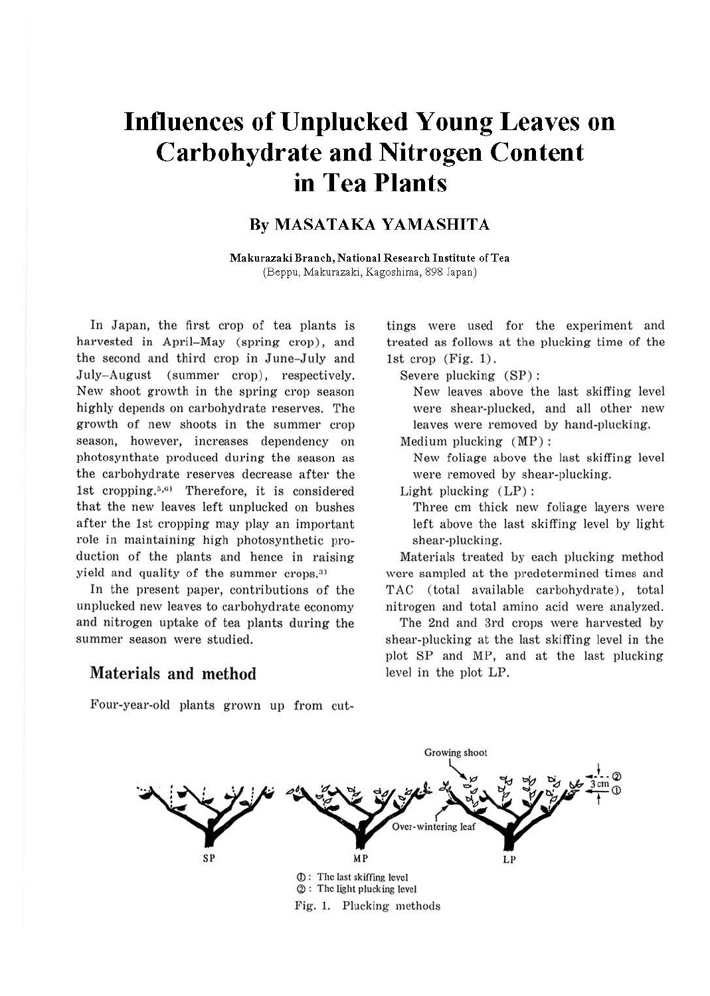# **Influences of Unplucked Young Leaves on Carbohydrate and Nitrogen Content in Tea Plants**

### **By MASATAKA YAMASHITA**

**Makurazaki Branch, National Research Institute of Tea**  (Beppu, Makurazaki, Kagoshima, 898 Japan)

In Japan, the first crop of tea plants is harvested in April-May (spring crop), and the second and third crop in June-July and July- August (summer crop), respectively. New shoot growth in the spring crop season highly depends on carbohydrate reserves. The growth of new shoots in the summer crop season, however, increases dependency on photosynthate produced during the season as the carbohydrate reserves decrease after the 1st cropping. $5,6$  Therefore, it is considered that the new leaves left unplucked on bushes after the 1st cropping may play an important role in maintaining high photosynthetic production of the plants and hence in raising yield and quality of the summer crops.<sup>3)</sup>

In the present paper, contributions of the unplucked new leaves to carbohydrate economy and nitrogen uptake of tea plants during the summer season were studied.

#### **Materials and method**

tings were used for the experiment and treated as follows at the plucking time of the 1st crop  $(Fig. 1)$ .

Severe plucking (SP) :

New leaves above the last skiffing level were shear-plucked, and all other new leaves were removed by hand-plucking.

Medium plucking (MP):

New foliage above the last skiffing level were removed by shear-plucking.

Light plucking  $(LP)$ :

Three cm thick new foliage layers were left above the last skiffing level by light shear-plucking.

Materials treated by each plucking method were sampled at the predetermined times and TAC (total available carbohydrate), total nitrogen and total amino acid were analyzed.

The 2nd and 3rd crops were harvested by shear-plucking at the last skiffing level in the plot SP and MP, and at the last plucking level in the plot LP.



## Growing shoot Over-wintering leaf SP **MP**  LP <D : The last skiffing level  $@:$  The light plucking level Fig. 1. Plucking methods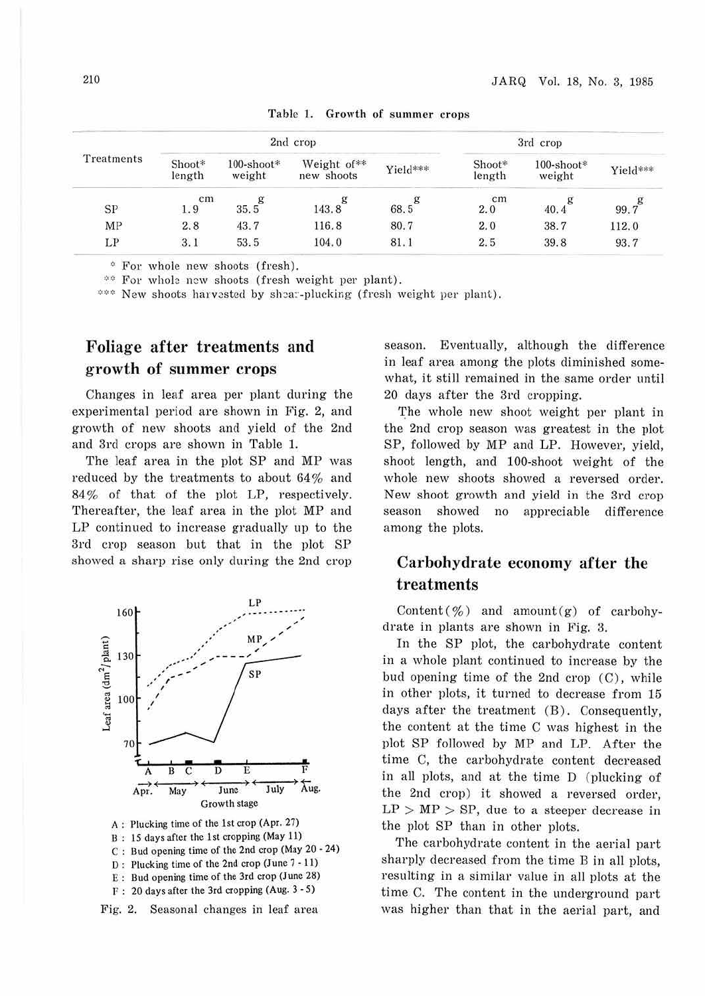| Treatments | 2nd crop         |                         |                           |           | 3rd crop         |                         |          |
|------------|------------------|-------------------------|---------------------------|-----------|------------------|-------------------------|----------|
|            | Shoot*<br>length | $100$ -shoot*<br>weight | Weight of**<br>new shoots | Yield***  | Shoot*<br>length | $100$ -shoot*<br>weight | Yield*** |
| SP         | cm<br>1.9        | g<br>35.5               | g<br>143.8                | g<br>68.5 | cm<br>2.0        | 40.4                    | 99.7     |
| ΜP         | 2.8              | 43.7                    | 116.8                     | 80.7      | 2.0              | 38.7                    | 112.0    |
| LP         | 3.1              | 53.5                    | 104.0                     | 81.1      | 2.5              | 39.8                    | 93.7     |

Table 1. Growth of summer crops

\* For whole new shoots (fresh).

\*\* For whole new shoots (fresh weight per plant).

\*\*\* New shoots harvested by shear-plucking (fresh weight per plant).

## **Foliage after treatments and growth of summer crops**

Changes in leaf area per plant during the experimental period are shown in Fig. 2, and growth of new shoots and yield of the 2nd and 3rd crops are shown in Table 1.

The leaf area in the plot SP and MP was reduced by the treatments to about  $64\%$  and 84% of that of the plot LP, respectively. Thereafter, the leaf area in the plot MP and LP continued to increase gradually up to the 3rd crop season but that in the plot SP showed a sharp rise only during the 2nd crop



B : IS days after the l st cropping (May 11) C : Bud opening time of the 2nd crop (May 20 • 24) D : Plucking time of the 2nd crop (June 7 - 11) E : Bud opening time of the 3rd crop (June 28)  $F: 20$  days after the 3rd cropping (Aug.  $3 - 5$ )



season. Eventually, although the difference in leaf area among the plots diminished somewhat, it still remained in the same order until 20 days after the 3rd cropping.

The whole new shoot weight per plant in the 2nd crop season was greatest in the plot SP, followed by MP and LP. However, yield, shoot length, and 100-shoot weight of the whole new shoots showed a reversed order. New shoot growth and yield in the 3rd crop season showed no appreciable difference among the plots.

## **Carbohydrate economy after the treatments**

Content( $\%$ ) and amount(g) of carbohydrate in plants are shown in Fig. 3.

In the SP plot, the carbohydrate content in a whole plant continued to increase by the bud opening time of the 2nd crop (C), while in other plots, it turned to decrease from 15 days after the treatment (B). Consequently, the content at the time C was highest in the plot SP followed by MP and LP. After the time C, the carbohydrate content decreased in all plots, and at the time D (plucking of the 2nd crop) it showed a reversed order,  $LP > MP > SP$ , due to a steeper decrease in the plot SP than in other plots.

The carbohydrate content in the aerial part sharply decreased from the time B in all plots, resulting in a similar value in all plots at the time C. The content in the underground part was higher than that in the aerial part, and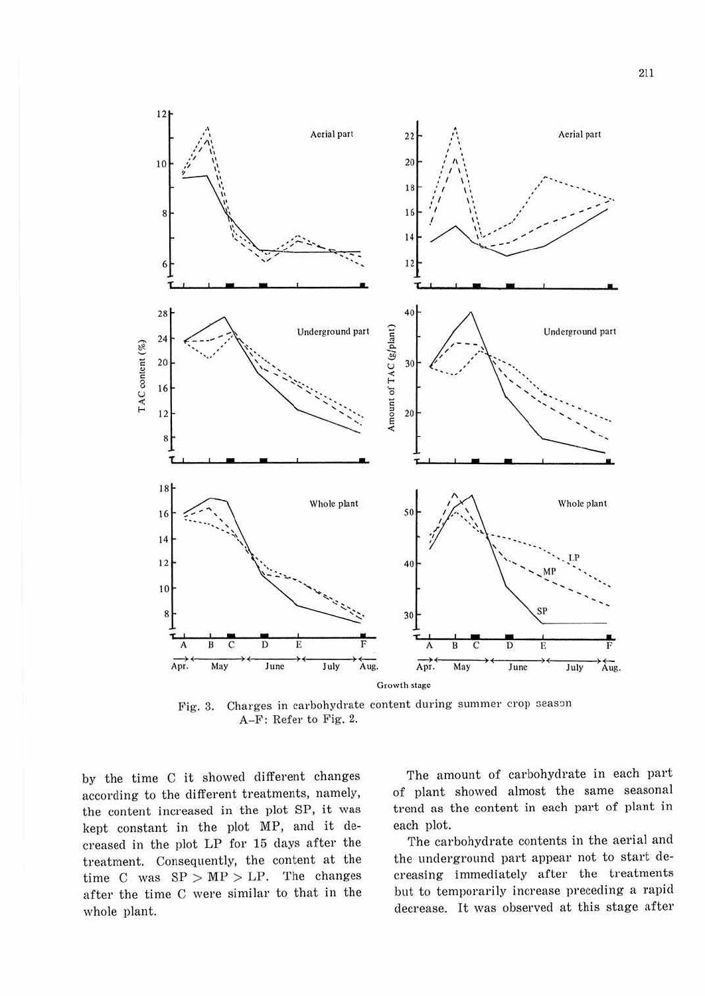

Fig. 3. Charges in carbohydrate content during summer crop season A-F: Refer to Fig. 2.

by the time C it showed different changes according to the different treatments, namely, the content increased in the plot SP, it was kept constant in the plot MP, and it decreased in the plot LP for 15 days after the treatment. Consequently, the content at the time C was  $SP > MP > LP$ . The changes after the time C were similar to that in the whole plant.

The amount of carbohydrate in each part of plant showed almost the same seasonal trend as the content in each part of plant in each plot.

The carbohydrate contents in the aerial and the underground part appear not to start decreasing immediately after the treatments but to temporarily increase preceding a rapid decrease. It was observed at this stage after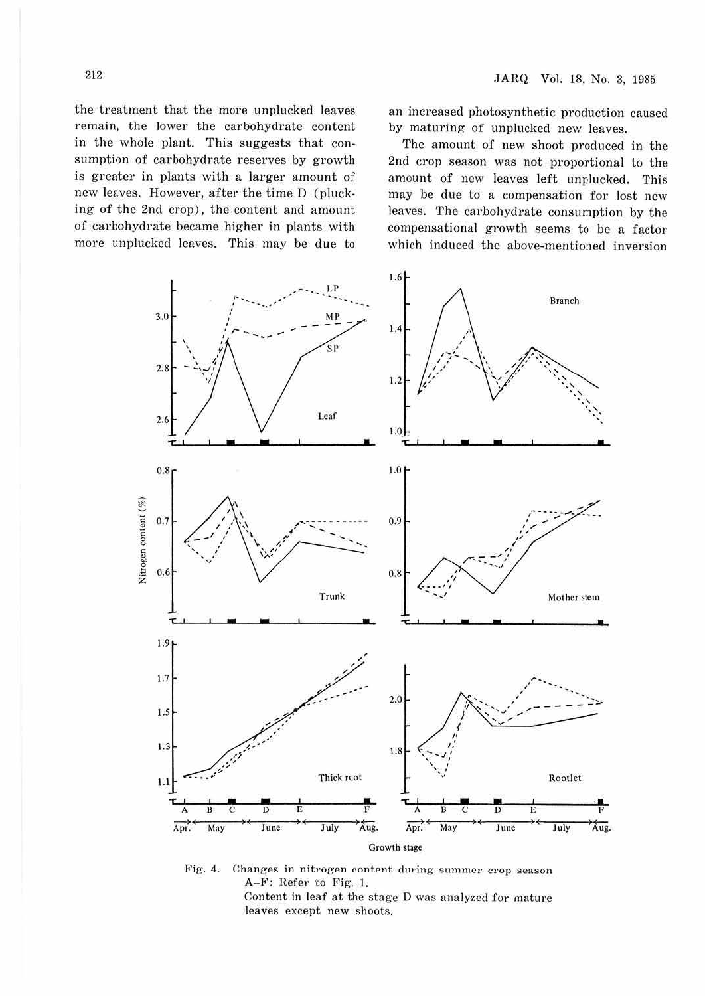the treatment that the more unplucked leaves remain, the lower the carbohydrate content in the whole plant. This suggests that consumption of carbohydrate reserves by growth is greater in plants with a larger amount of new leaves. However, after the time D (plucking of the 2nd crop), the content and amount of carbohydrate became higher in plants with more unplucked leaves. This may be due to

an increased photosynthetic production caused by maturing of unplucked new leaves.

The amount of new shoot produced in the 2nd crop season was not proportional to the amount of new leaves left unplucked. This may be due to a compensation for lost new leaves. The carbohydrate consumption by the compensational growth seems to be a factor which induced the above-mentioned inversion



Fig. 4. Changes in nitrogen content during summer crop season A-F: Refer to Fig. 1. Content in leaf at the stage D was analyzed for mature leaves except new shoots.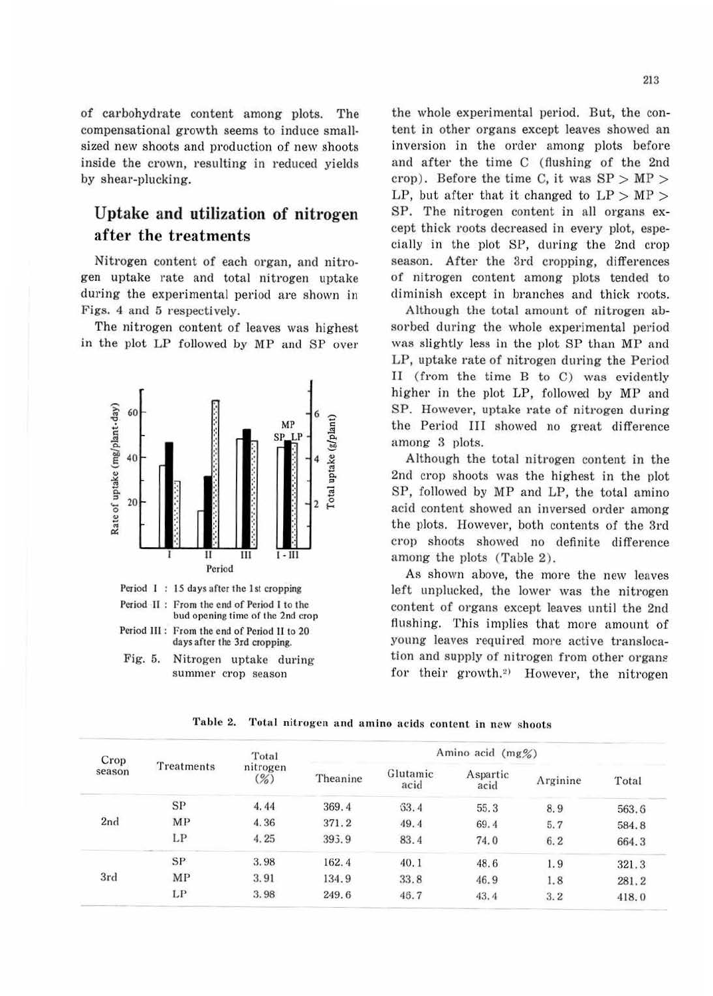of carbohydrate content among plots. The compensational growth seems to induce smallsized new shoots and production of new shoots inside the crown, resulting in reduced yields by shear-plucking.

## Uptake and utilization of nitrogen after the treatments

Nitrogen content of each organ, and nitrogen uptake rate and total nitrogen uptake during the experimental period are shown in Figs. 4 and 5 respectively.

The nitrogen content of leaves was highest in the plot LP followed by MP and SP over



the whole experimental period. But, the content in other organs except leaves showed an inversion in the order among plots before and after the time C (flushing of the 2nd crop). Before the time C, it was  $SP > MP >$ LP, but after that it changed to  $LP > MP >$ SP. The nitrogen content in all organs except thick roots decreased in every plot, especially in the plot SP, during the 2nd crop season. After the 3rd cropping, differences of nitrogen content among plots tended to diminish except in branches and thick roots.

Although the total amount of nitrogen absorbed during the whole experimental period was slightly less in the plot SP than MP and LP, uptake rate of nitrogen during the Period II (from the time B to C) was evidently higher in the plot LP, followed by MP and SP. However, uptake rate of nitrogen during the Period III showed no great difference among 3 plots.

Although the total nitrogen content in the 2nd crop shoots was the highest in the plot SP, followed by MP and LP, the total amino acid content showed an inversed order among the plots. However, both contents of the 3rd crop shoots showed no definite difference among the plots (Table 2).

As shown above, the more the new leaves left unplucked, the lower was the nitrogen content of organs except leaves until the 2nd flushing. This implies that more amount of young leaves required more active translocation and supply of nitrogen from other organs for their growth.<sup>2)</sup> However, the nitrogen

| Crop<br>season | Treatments | Total<br>nitrogen<br>$\binom{9}{0}$ | Amino acid (mg%) |                  |                  |          |       |  |
|----------------|------------|-------------------------------------|------------------|------------------|------------------|----------|-------|--|
|                |            |                                     | Theanine         | Glutamic<br>acid | Aspartic<br>acid | Arginine | Total |  |
| 2nd            | SP         | 4.44                                | 369.4            | 63.4             | 55.3             | 8.9      | 563.6 |  |
|                | MP         | 4.36                                | 371.2            | 49.4             | 69.4             | 5.7      | 584.8 |  |
|                | LP         | 4.25                                | 395.9            | 83.4             | 74.0             | 6.2      | 664.3 |  |
| 3rd            | SP         | 3.98                                | 162.4            | 40.1             | 48.6             | 1.9      | 321.3 |  |
|                | MP         | 3.91                                | 134.9            | 33.8             | 46.9             | 1.8      | 281.2 |  |
|                | LP         | 3.98                                | 249.6            | 46.7             | 43.4             | 3.2      | 418.0 |  |

Table 2. Total nitrogen and amino acids content in new shoots